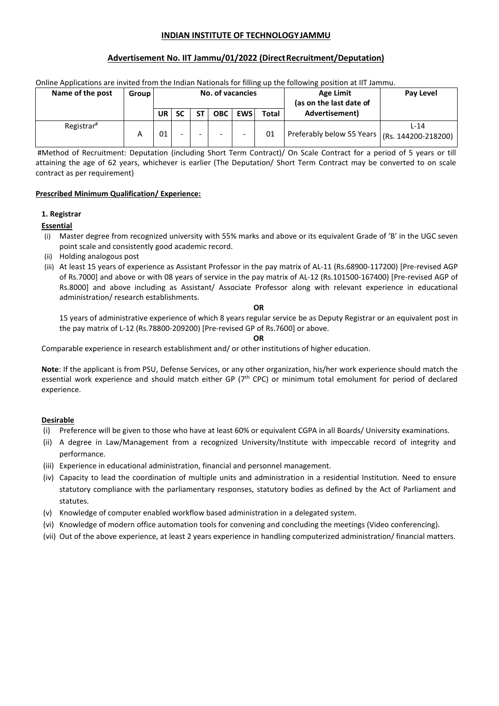# **INDIAN INSTITUTE OF TECHNOLOGYJAMMU**

### **Advertisement No. IIT Jammu/01/2022 (DirectRecruitment/Deputation)**

|                        |       |    |                          |                  |            |       | Online Applications are invited from the Indian Nationals for filling up the following position at IIT Jammu. |           |
|------------------------|-------|----|--------------------------|------------------|------------|-------|---------------------------------------------------------------------------------------------------------------|-----------|
| Name of the post       | Group |    |                          | No. of vacancies |            |       | <b>Age Limit</b><br>(as on the last date of                                                                   | Pay Level |
|                        |       | UR | <b>SC</b>                | OBC I            | <b>EWS</b> | Total | Advertisement)                                                                                                |           |
| Registrar <sup>#</sup> | А     | 01 | $\overline{\phantom{0}}$ |                  |            | 01    | Preferably below 55 Years $ (Rs. 144200-218200) $                                                             | $1 - 14$  |

#Method of Recruitment: Deputation (including Short Term Contract)/ On Scale Contract for a period of 5 years or till attaining the age of 62 years, whichever is earlier (The Deputation/ Short Term Contract may be converted to on scale contract as per requirement)

### **Prescribed Minimum Qualification/ Experience:**

### **1. Registrar**

# **Essential**

- (i) Master degree from recognized university with 55% marks and above or its equivalent Grade of 'B' in the UGC seven point scale and consistently good academic record.
- (ii) Holding analogous post
- (iii) At least 15 years of experience as Assistant Professor in the pay matrix of AL-11 (Rs.68900-117200) [Pre-revised AGP of Rs.7000] and above or with 08 years of service in the pay matrix of AL-12 (Rs.101500-167400) [Pre-revised AGP of Rs.8000] and above including as Assistant/ Associate Professor along with relevant experience in educational administration/ research establishments.

#### **OR**

15 years of administrative experience of which 8 years regular service be as Deputy Registrar or an equivalent post in the pay matrix of L-12 (Rs.78800-209200) [Pre-revised GP of Rs.7600] or above.

#### **OR**

Comparable experience in research establishment and/ or other institutions of higher education.

**Note**: If the applicant is from PSU, Defense Services, or any other organization, his/her work experience should match the essential work experience and should match either GP (7<sup>th</sup> CPC) or minimum total emolument for period of declared experience.

# **Desirable**

- (i) Preference will be given to those who have at least 60% or equivalent CGPA in all Boards/ University examinations.
- (ii) A degree in Law/Management from a recognized University/Institute with impeccable record of integrity and performance.
- (iii) Experience in educational administration, financial and personnel management.
- (iv) Capacity to lead the coordination of multiple units and administration in a residential Institution. Need to ensure statutory compliance with the parliamentary responses, statutory bodies as defined by the Act of Parliament and statutes.
- (v) Knowledge of computer enabled workflow based administration in a delegated system.
- (vi) Knowledge of modern office automation tools for convening and concluding the meetings (Video conferencing).
- (vii) Out of the above experience, at least 2 years experience in handling computerized administration/ financial matters.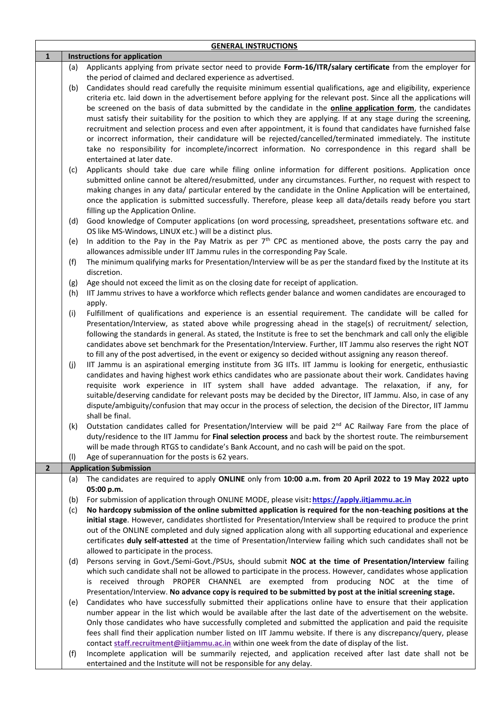|                |     | <b>GENERAL INSTRUCTIONS</b>                                                                                                                                                                                                                                                                                                                                                                                                                                                                                                                                                               |
|----------------|-----|-------------------------------------------------------------------------------------------------------------------------------------------------------------------------------------------------------------------------------------------------------------------------------------------------------------------------------------------------------------------------------------------------------------------------------------------------------------------------------------------------------------------------------------------------------------------------------------------|
| $\mathbf{1}$   |     | <b>Instructions for application</b>                                                                                                                                                                                                                                                                                                                                                                                                                                                                                                                                                       |
|                | (a) | Applicants applying from private sector need to provide Form-16/ITR/salary certificate from the employer for                                                                                                                                                                                                                                                                                                                                                                                                                                                                              |
|                |     | the period of claimed and declared experience as advertised.                                                                                                                                                                                                                                                                                                                                                                                                                                                                                                                              |
|                | (b) | Candidates should read carefully the requisite minimum essential qualifications, age and eligibility, experience<br>criteria etc. laid down in the advertisement before applying for the relevant post. Since all the applications will<br>be screened on the basis of data submitted by the candidate in the <b>online application form</b> , the candidates                                                                                                                                                                                                                             |
|                |     | must satisfy their suitability for the position to which they are applying. If at any stage during the screening,                                                                                                                                                                                                                                                                                                                                                                                                                                                                         |
|                |     | recruitment and selection process and even after appointment, it is found that candidates have furnished false<br>or incorrect information, their candidature will be rejected/cancelled/terminated immediately. The institute<br>take no responsibility for incomplete/incorrect information. No correspondence in this regard shall be<br>entertained at later date.                                                                                                                                                                                                                    |
|                | (c) | Applicants should take due care while filing online information for different positions. Application once<br>submitted online cannot be altered/resubmitted, under any circumstances. Further, no request with respect to<br>making changes in any data/ particular entered by the candidate in the Online Application will be entertained,<br>once the application is submitted successfully. Therefore, please keep all data/details ready before you start<br>filling up the Application Online.                                                                                       |
|                | (d) | Good knowledge of Computer applications (on word processing, spreadsheet, presentations software etc. and<br>OS like MS-Windows, LINUX etc.) will be a distinct plus.                                                                                                                                                                                                                                                                                                                                                                                                                     |
|                | (e) | In addition to the Pay in the Pay Matrix as per $7th$ CPC as mentioned above, the posts carry the pay and<br>allowances admissible under IIT Jammu rules in the corresponding Pay Scale.                                                                                                                                                                                                                                                                                                                                                                                                  |
|                | (f) | The minimum qualifying marks for Presentation/Interview will be as per the standard fixed by the Institute at its<br>discretion.                                                                                                                                                                                                                                                                                                                                                                                                                                                          |
|                | (g) | Age should not exceed the limit as on the closing date for receipt of application.                                                                                                                                                                                                                                                                                                                                                                                                                                                                                                        |
|                | (h) | IIT Jammu strives to have a workforce which reflects gender balance and women candidates are encouraged to<br>apply.                                                                                                                                                                                                                                                                                                                                                                                                                                                                      |
|                | (i) | Fulfillment of qualifications and experience is an essential requirement. The candidate will be called for                                                                                                                                                                                                                                                                                                                                                                                                                                                                                |
|                |     | Presentation/Interview, as stated above while progressing ahead in the stage(s) of recruitment/ selection,<br>following the standards in general. As stated, the Institute is free to set the benchmark and call only the eligible<br>candidates above set benchmark for the Presentation/Interview. Further, IIT Jammu also reserves the right NOT<br>to fill any of the post advertised, in the event or exigency so decided without assigning any reason thereof.                                                                                                                      |
|                | (j) | IIT Jammu is an aspirational emerging institute from 3G IITs. IIT Jammu is looking for energetic, enthusiastic<br>candidates and having highest work ethics candidates who are passionate about their work. Candidates having<br>requisite work experience in IIT system shall have added advantage. The relaxation, if any, for<br>suitable/deserving candidate for relevant posts may be decided by the Director, IIT Jammu. Also, in case of any<br>dispute/ambiguity/confusion that may occur in the process of selection, the decision of the Director, IIT Jammu<br>shall be final. |
|                | (k) | Outstation candidates called for Presentation/Interview will be paid 2 <sup>nd</sup> AC Railway Fare from the place of<br>duty/residence to the IIT Jammu for Final selection process and back by the shortest route. The reimbursement<br>will be made through RTGS to candidate's Bank Account, and no cash will be paid on the spot.                                                                                                                                                                                                                                                   |
|                | (1) | Age of superannuation for the posts is 62 years.                                                                                                                                                                                                                                                                                                                                                                                                                                                                                                                                          |
| $\overline{2}$ |     | <b>Application Submission</b>                                                                                                                                                                                                                                                                                                                                                                                                                                                                                                                                                             |
|                | (a) | The candidates are required to apply ONLINE only from 10:00 a.m. from 20 April 2022 to 19 May 2022 upto<br>05:00 p.m.                                                                                                                                                                                                                                                                                                                                                                                                                                                                     |
|                | (b) | For submission of application through ONLINE MODE, please visit: https://apply.iitjammu.ac.in                                                                                                                                                                                                                                                                                                                                                                                                                                                                                             |
|                | (c) | No hardcopy submission of the online submitted application is required for the non-teaching positions at the                                                                                                                                                                                                                                                                                                                                                                                                                                                                              |
|                |     | initial stage. However, candidates shortlisted for Presentation/Interview shall be required to produce the print                                                                                                                                                                                                                                                                                                                                                                                                                                                                          |
|                |     | out of the ONLINE completed and duly signed application along with all supporting educational and experience                                                                                                                                                                                                                                                                                                                                                                                                                                                                              |
|                |     | certificates duly self-attested at the time of Presentation/Interview failing which such candidates shall not be<br>allowed to participate in the process.                                                                                                                                                                                                                                                                                                                                                                                                                                |
|                | (d) | Persons serving in Govt./Semi-Govt./PSUs, should submit NOC at the time of Presentation/Interview failing                                                                                                                                                                                                                                                                                                                                                                                                                                                                                 |
|                |     | which such candidate shall not be allowed to participate in the process. However, candidates whose application                                                                                                                                                                                                                                                                                                                                                                                                                                                                            |
|                |     | is received through PROPER CHANNEL are exempted from producing NOC at the time of<br>Presentation/Interview. No advance copy is required to be submitted by post at the initial screening stage.                                                                                                                                                                                                                                                                                                                                                                                          |
|                | (e) | Candidates who have successfully submitted their applications online have to ensure that their application                                                                                                                                                                                                                                                                                                                                                                                                                                                                                |
|                |     | number appear in the list which would be available after the last date of the advertisement on the website.                                                                                                                                                                                                                                                                                                                                                                                                                                                                               |
|                |     | Only those candidates who have successfully completed and submitted the application and paid the requisite                                                                                                                                                                                                                                                                                                                                                                                                                                                                                |
|                |     | fees shall find their application number listed on IIT Jammu website. If there is any discrepancy/query, please                                                                                                                                                                                                                                                                                                                                                                                                                                                                           |
|                |     | contact staff.recruitment@iitjammu.ac.in within one week from the date of display of the list.                                                                                                                                                                                                                                                                                                                                                                                                                                                                                            |
|                | (f) | Incomplete application will be summarily rejected, and application received after last date shall not be<br>entertained and the Institute will not be responsible for any delay.                                                                                                                                                                                                                                                                                                                                                                                                          |